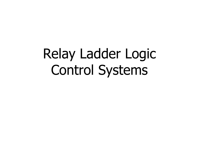# Relay Ladder Logic Control Systems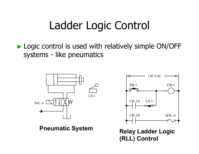# Ladder Logic Control

► Logic control is used with relatively simple ON/OFF systems - like pneumatics





**Pneumatic System Relay Ladder Logic (RLL) Control**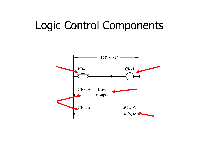#### Logic Control Components

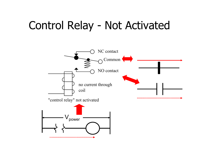#### Control Relay - Not Activated

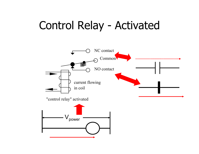#### Control Relay - Activated

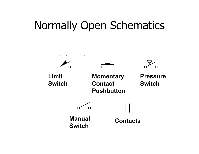#### Normally Open Schematics



**Switch**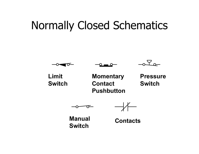## Normally Closed Schematics



**ManualSwitch**

**Contacts**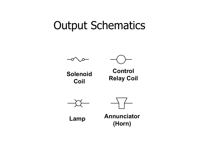#### Output Schematics



Coil



**ControlRelay Coil Solenoid Coil**





**Annunciator (Horn) Lamp**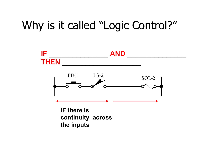## Why is it called "Logic Control?"



**IF there is continuity across the inputs**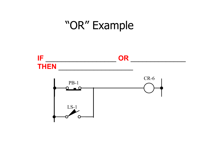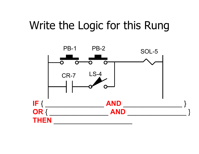## Write the Logic for this Rung

![](_page_10_Figure_1.jpeg)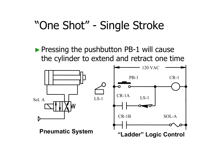## "One Shot" - Single Stroke

►Pressing the pushbutton PB-1 will cause the cylinder to extend and retract one time

![](_page_11_Figure_2.jpeg)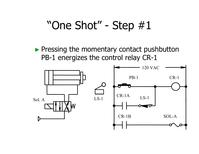▶ Pressing the momentary contact pushbutton PB-1 energizes the control relay CR-1

![](_page_12_Figure_2.jpeg)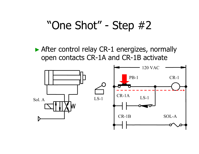► After control relay CR-1 energizes, normally open contacts CR-1A and CR-1B activate

![](_page_13_Figure_2.jpeg)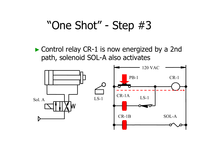► Control relay CR-1 is now energized by a 2nd path, solenoid SOL-A also activates

![](_page_14_Figure_2.jpeg)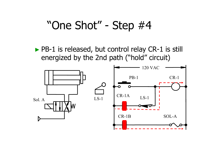► PB-1 is released, but control relay CR-1 is still energized by the 2nd path ("hold" circuit)

![](_page_15_Figure_2.jpeg)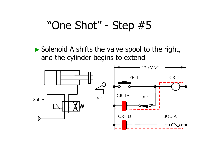► Solenoid A shifts the valve spool to the right, and the cylinder begins to extend

![](_page_16_Figure_2.jpeg)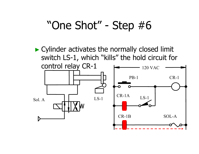► Cylinder activates the normally closed limit switch LS-1, which "kills" the hold circuit for

![](_page_17_Figure_2.jpeg)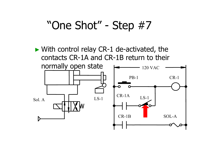► With control relay CR-1 de-activated, the contacts CR-1A and CR-1B return to their normally open state  $\Box$   $\Box$  120 VAC Sol. A $\mathbf{A}$  LS-1 PB-1 CR-1 CR-1A $LS-1$ 

CR-1B

SOL-A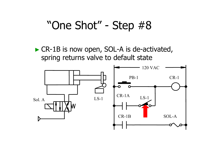► CR-1B is now open, SOL-A is de-activated, spring returns valve to default state

![](_page_19_Figure_2.jpeg)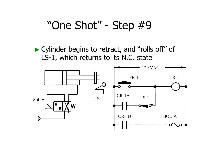► Cylinder begins to retract, and "rolls off" of LS-1, which returns to its N.C. state

![](_page_20_Figure_2.jpeg)